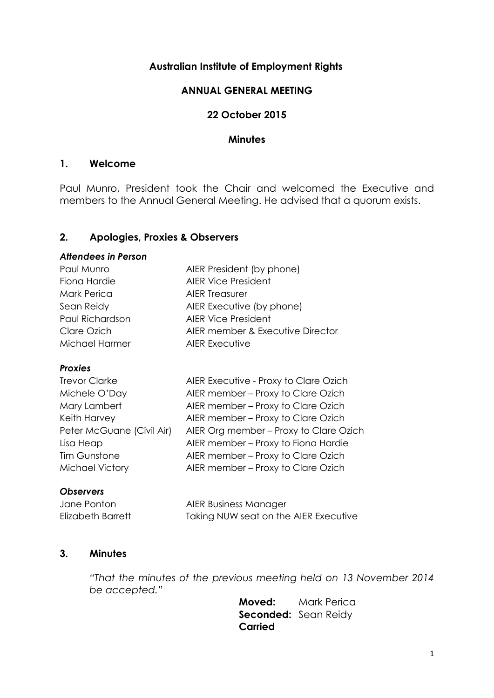## **Australian Institute of Employment Rights**

## **ANNUAL GENERAL MEETING**

## **22 October 2015**

#### **Minutes**

### **1. Welcome**

Paul Munro, President took the Chair and welcomed the Executive and members to the Annual General Meeting. He advised that a quorum exists.

## **2. Apologies, Proxies & Observers**

#### *Attendees in Person*

| Paul Munro      | AIER President (by phone)        |  |
|-----------------|----------------------------------|--|
| Fiona Hardie    | <b>AIER Vice President</b>       |  |
| Mark Perica     | <b>AIER Treasurer</b>            |  |
| Sean Reidy      | AIER Executive (by phone)        |  |
| Paul Richardson | <b>AIER Vice President</b>       |  |
| Clare Ozich     | AIER member & Executive Director |  |
| Michael Harmer  | <b>AIER Executive</b>            |  |
|                 |                                  |  |

#### *Proxies*

| <b>Trevor Clarke</b>      | AIER Executive - Proxy to Clare Ozich  |
|---------------------------|----------------------------------------|
| Michele O'Day             | AIER member - Proxy to Clare Ozich     |
| Mary Lambert              | AIER member - Proxy to Clare Ozich     |
| Keith Harvey              | AIER member - Proxy to Clare Ozich     |
| Peter McGuane (Civil Air) | AIER Org member - Proxy to Clare Ozich |
| Lisa Heap                 | AIER member - Proxy to Fiona Hardie    |
| Tim Gunstone              | AIER member - Proxy to Clare Ozich     |
| <b>Michael Victory</b>    | AIER member - Proxy to Clare Ozich     |
|                           |                                        |

#### *Observers*

Jane Ponton AIER Business Manager Elizabeth Barrett Taking NUW seat on the AIER Executive

## **3. Minutes**

*"That the minutes of the previous meeting held on 13 November 2014 be accepted."*

> **Moved:** Mark Perica **Seconded:** Sean Reidy **Carried**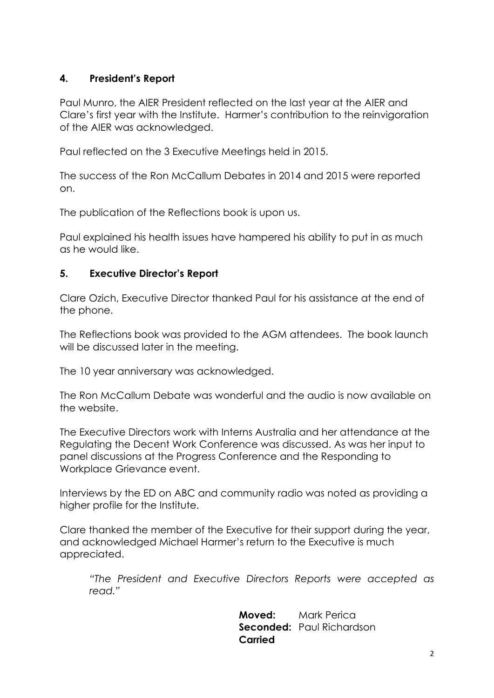# **4. President's Report**

Paul Munro, the AIER President reflected on the last year at the AIER and Clare's first year with the Institute. Harmer's contribution to the reinvigoration of the AIER was acknowledged.

Paul reflected on the 3 Executive Meetings held in 2015.

The success of the Ron McCallum Debates in 2014 and 2015 were reported on.

The publication of the Reflections book is upon us.

Paul explained his health issues have hampered his ability to put in as much as he would like.

# **5. Executive Director's Report**

Clare Ozich, Executive Director thanked Paul for his assistance at the end of the phone.

The Reflections book was provided to the AGM attendees. The book launch will be discussed later in the meeting.

The 10 year anniversary was acknowledged.

The Ron McCallum Debate was wonderful and the audio is now available on the website.

The Executive Directors work with Interns Australia and her attendance at the Regulating the Decent Work Conference was discussed. As was her input to panel discussions at the Progress Conference and the Responding to Workplace Grievance event.

Interviews by the ED on ABC and community radio was noted as providing a higher profile for the Institute.

Clare thanked the member of the Executive for their support during the year, and acknowledged Michael Harmer's return to the Executive is much appreciated.

*"The President and Executive Directors Reports were accepted as read."*

> **Moved:** Mark Perica **Seconded:** Paul Richardson **Carried**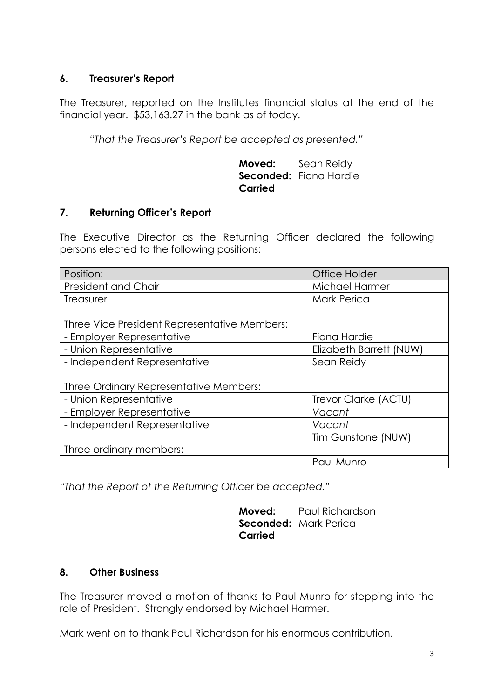# **6. Treasurer's Report**

The Treasurer, reported on the Institutes financial status at the end of the financial year. \$53,163.27 in the bank as of today.

*"That the Treasurer's Report be accepted as presented."*

**Moved:** Sean Reidy Seconded: Fiona Hardie **Carried**

# **7. Returning Officer's Report**

The Executive Director as the Returning Officer declared the following persons elected to the following positions:

| Position:                                    | <b>Office Holder</b>    |
|----------------------------------------------|-------------------------|
| President and Chair                          | Michael Harmer          |
| Treasurer                                    | <b>Mark Perica</b>      |
|                                              |                         |
| Three Vice President Representative Members: |                         |
| - Employer Representative                    | Fiona Hardie            |
| - Union Representative                       | Elizabeth Barrett (NUW) |
| - Independent Representative                 | Sean Reidy              |
|                                              |                         |
| Three Ordinary Representative Members:       |                         |
| - Union Representative                       | Trevor Clarke (ACTU)    |
| - Employer Representative                    | Vacant                  |
| - Independent Representative                 | Vacant                  |
|                                              | Tim Gunstone (NUW)      |
| Three ordinary members:                      |                         |
|                                              | Paul Munro              |

*"That the Report of the Returning Officer be accepted."*

**Moved:** Paul Richardson **Seconded:** Mark Perica **Carried**

## **8. Other Business**

The Treasurer moved a motion of thanks to Paul Munro for stepping into the role of President. Strongly endorsed by Michael Harmer.

Mark went on to thank Paul Richardson for his enormous contribution.